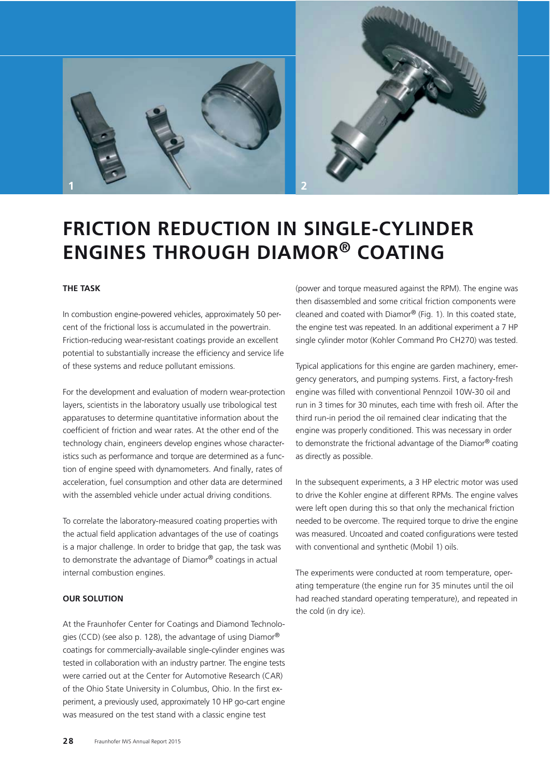

# **FRICTION REDUCTION IN SINGLE-CYLINDER ENGINES THROUGH DIAMOR® COATING**

## **THE TASK**

In combustion engine-powered vehicles, approximately 50 percent of the frictional loss is accumulated in the powertrain. Friction-reducing wear-resistant coatings provide an excellent potential to substantially increase the efficiency and service life of these systems and reduce pollutant emissions.

For the development and evaluation of modern wear-protection layers, scientists in the laboratory usually use tribological test apparatuses to determine quantitative information about the coefficient of friction and wear rates. At the other end of the technology chain, engineers develop engines whose characteristics such as performance and torque are determined as a function of engine speed with dynamometers. And finally, rates of acceleration, fuel consumption and other data are determined with the assembled vehicle under actual driving conditions.

To correlate the laboratory-measured coating properties with the actual field application advantages of the use of coatings is a major challenge. In order to bridge that gap, the task was to demonstrate the advantage of Diamor® coatings in actual internal combustion engines.

#### **OUR SOLUTION**

At the Fraunhofer Center for Coatings and Diamond Technologies (CCD) (see also p. 128), the advantage of using Diamor® coatings for commercially-available single-cylinder engines was tested in collaboration with an industry partner. The engine tests were carried out at the Center for Automotive Research (CAR) of the Ohio State University in Columbus, Ohio. In the first experiment, a previously used, approximately 10 HP go-cart engine was measured on the test stand with a classic engine test

(power and torque measured against the RPM). The engine was then disassembled and some critical friction components were cleaned and coated with Diamor® (Fig. 1). In this coated state, the engine test was repeated. In an additional experiment a 7 HP single cylinder motor (Kohler Command Pro CH270) was tested.

Typical applications for this engine are garden machinery, emergency generators, and pumping systems. First, a factory-fresh engine was filled with conventional Pennzoil 10W-30 oil and run in 3 times for 30 minutes, each time with fresh oil. After the third run-in period the oil remained clear indicating that the engine was properly conditioned. This was necessary in order to demonstrate the frictional advantage of the Diamor® coating as directly as possible.

In the subsequent experiments, a 3 HP electric motor was used to drive the Kohler engine at different RPMs. The engine valves were left open during this so that only the mechanical friction needed to be overcome. The required torque to drive the engine was measured. Uncoated and coated configurations were tested with conventional and synthetic (Mobil 1) oils.

The experiments were conducted at room temperature, operating temperature (the engine run for 35 minutes until the oil had reached standard operating temperature), and repeated in the cold (in dry ice).